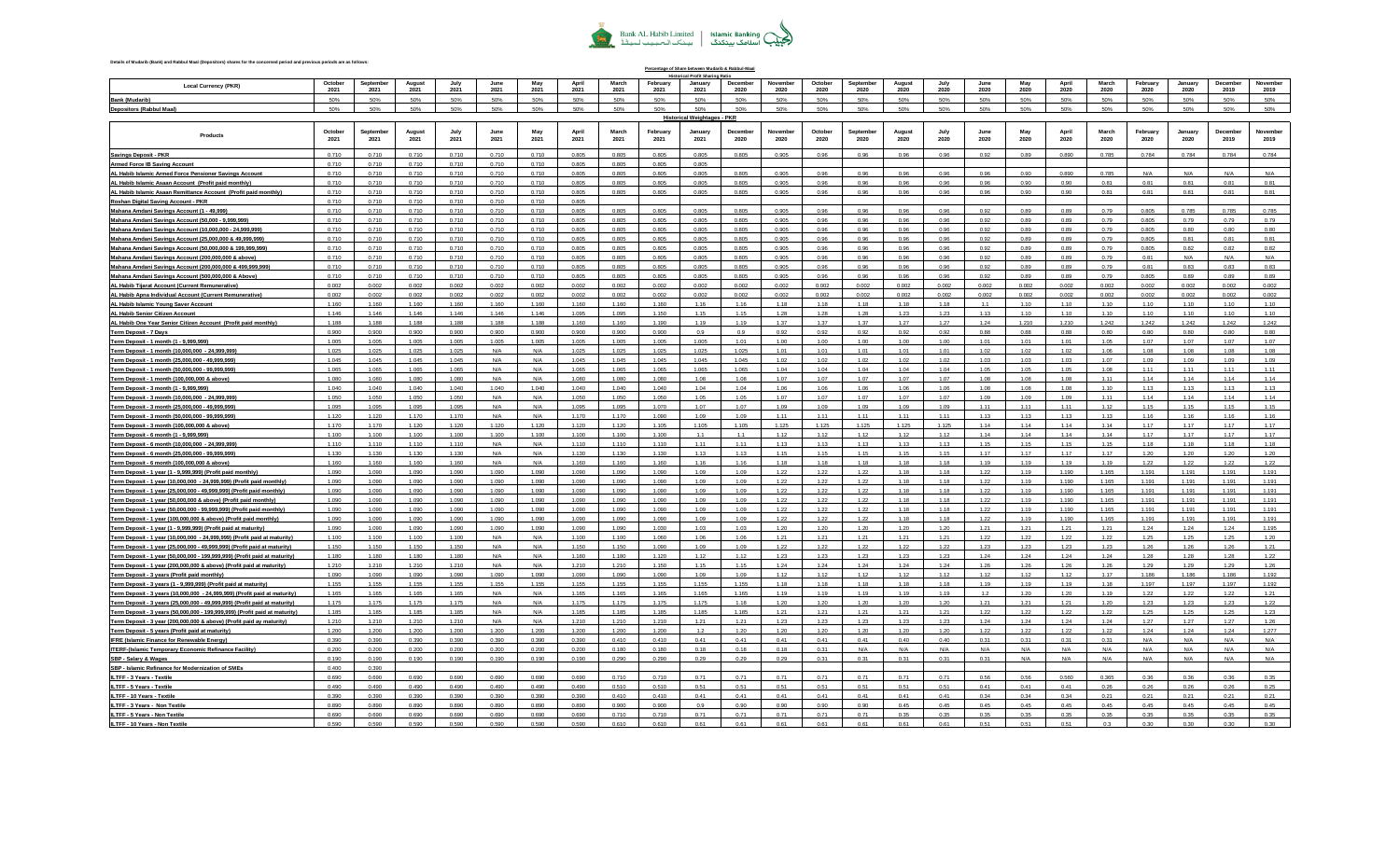## Bank AL Habib Limited | Islamic Banking<br>| بینک الحبیب لمیٹکنگ | بینک الحبیب لمیٹڈ

**Percentage of Share between Mudarib & Rabbul-Maal**

## **Details of Mudarib (Bank) and Rabbul Maal (Depositors) shares for the concerned period and previous periods are as follows:**

|                                                                             |                 |                  |               |              |              |             |               |               |                  | al Profit Sharing Rati                    |                 |                  |                 |                  |                |              |                     |             |               |               |                  |                 |                  |                  |
|-----------------------------------------------------------------------------|-----------------|------------------|---------------|--------------|--------------|-------------|---------------|---------------|------------------|-------------------------------------------|-----------------|------------------|-----------------|------------------|----------------|--------------|---------------------|-------------|---------------|---------------|------------------|-----------------|------------------|------------------|
| <b>Local Currency (PKR)</b>                                                 | October<br>2021 | Septembe<br>2021 | Augus<br>2021 | July<br>2021 | June<br>2021 | May<br>2021 | April<br>2021 | March<br>2021 | February<br>2021 | January<br>2021                           | Decembe<br>2020 | November<br>2020 | October<br>2020 | Septembe<br>2020 | August<br>2020 | July<br>2020 | <b>June</b><br>2020 | May<br>2020 | April<br>2020 | March<br>2020 | February<br>2020 | January<br>2020 | December<br>2019 | November<br>2019 |
|                                                                             |                 |                  |               |              |              |             |               |               |                  |                                           |                 |                  |                 |                  |                |              |                     |             |               |               |                  |                 |                  |                  |
| Bank (Mudarib)                                                              | 50%             | 50%              | 50%           | 50%          | 50%          | 50%         | 50%           | 50%           | 50%<br>50%       | 50%                                       | 50%             | 50%              | 50%             | 50%              | 50%            | 50%          | 50%                 | 50%         | 50%           | 50%           | 50%              | 50%             | 50%              | 50%              |
| Depositors (Rabbul Maal)                                                    | 50%             | 50%              | 50%           | 50%          | 50%          | 50%         | 50%           | 50%           |                  | 50%<br><b>Historical Weightages - PKR</b> | 50%             | 50%              | 50%             | 50%              | 50%            | 50%          | 50%                 | 50%         | 50%           | 50%           | 50%              | 50%             | 50%              | 50%              |
|                                                                             |                 |                  |               |              |              |             |               |               |                  |                                           |                 |                  |                 |                  |                |              |                     |             |               |               |                  |                 |                  |                  |
| Products                                                                    | October         | Septembe         | Augus         |              |              | May         | April         | March         | February         | Januar                                    | December        | November         | October         | Sentembe         | August         |              |                     | May         | April         | March         | February         | January         | Decembe          | Novembe          |
|                                                                             | 2021            | 2021             | 2021          | 2021         | 2021         | 2021        | 2021          | 2021          | 2021             | 2021                                      | 2020            | 2020             | 2020            | 2020             | 2020           | 2020         | 2020                | 2020        | 2020          | 2020          | 2020             | 2020            | 2019             | 2019             |
| Savings Deposit - PKR                                                       | 0.710           | 0.710            | 0.710         | 0.710        | 0.710        | 0.710       | 0.805         | 0.805         | 0.805            | 0.805                                     | 0.805           | 0.905            | 0.96            | 0.96             | 0.96           | 0.96         | 0.92                | 0.89        | 0.890         | 0.785         | 0.784            | 0.784           | 0.784            | 0.784            |
| <b>Armed Force IB Saving Account</b>                                        | 0.710           | 0.710            | 0.710         | 0.710        | 0.710        | 0.710       | 0.805         | 0.805         | 0.805            | 0.805                                     |                 |                  |                 |                  |                |              |                     |             |               |               |                  |                 |                  |                  |
| AL Habib Islamic Armed Force Pensioner Savings Account                      | 0.710           | 0.710            | 0.710         | 0.710        | 0.710        | 0.710       | 0.805         | 0.805         | 0.805            | 0.805                                     | 0.805           | 0.905            | 0.96            | 0.96             | 0.96           | 0.96         | 0.96                | 0.90        | 0.890         | 0.785         | N/A              | N/A             | N/A              | N/A              |
| AL Habib Islamic Asaan Account (Profit paid monthly)                        | 0.710           | 0.710            | 0.710         | 0.710        | 0.710        | 0.710       | 0.805         | 0.805         | 0.805            | 0.805                                     | 0.805           | 0.905            | 0.96            | 0.96             | 0.96           | 0.96         | 0.96                | 0.90        | 0.90          | 0.81          | 0.81             | 0.81            | 0.81             | 0.81             |
| AL Habib Islamic Asaan Remittance Account (Profit paid monthly)             | 0.710           | 0.710            | 0.710         | 0.710        | 0.710        | 0.710       | 0.805         | 0.805         | 0.805            | 0.805                                     | 0.805           | 0.905            | 0.96            | 0.96             | 0.96           | 0.96         | 0.96                | 0.90        | 0.90          | 0.81          | 0.81             | 0.81            | 0.81             | 0.81             |
| Roshan Digital Saving Account - PKR                                         | 0.710           | 0.710            | 0.710         | 0.710        | 0.710        | 0.710       | 0.805         |               |                  |                                           |                 |                  |                 |                  |                |              |                     |             |               |               |                  |                 |                  |                  |
| Mahana Amdani Savings Account (1 - 49,999)                                  | 0.710           | 0.710            | 0.710         | 0.710        | 0.710        | 0.710       | 0.805         | 0.805         | 0.805            | 0.805                                     | 0.805           | 0.905            | 0.96            | 0.96             | 0.96           | 0.96         | 0.92                | 0.89        | 0.89          | 0.79          | 0.805            | 0.785           | 0.785            | 0.785            |
| Mahana Amdani Savings Account (50,000 - 9,999,999)                          | 0.710           | 0.710            | 0.710         | 0.710        | 0.710        | 0.710       | 0.805         | 0.805         | 0.805            | 0.805                                     | 0.805           | 0.905            | 0.96            | 0.96             | 0.96           | 0.96         | 0.92                | 0.89        | 0.89          | n 79          | 0.805            | 0.79            | 0.79             | 0.79             |
| Mahana Amdani Savings Account (10,000,000 - 24,999,999)                     | 0.710           | 0.710            | 0.710         | 0.710        | 0.710        | 0.710       | 0.805         | 0.805         | 0.805            | 0.805                                     | 0.805           | 0.905            | 0.96            | 0.96             | 0.96           | 0.96         | 0.92                | 0.89        | 0.89          | 0.79          | 0.805            | 0.80            | 0.80             | 0.80             |
| Mahana Amdani Savings Account (25,000,000 & 49,999,999)                     | 0.710           | 0.710            | 0.710         | 0.710        | 0.710        | 0.710       | 0.805         | 0.805         | 0.805            | 0.805                                     | 0.805           | 0.905            | 0.96            | 0.96             | 0.96           | 0.96         | 0.92                | 0.89        | 0.89          | 0.79          | 0.805            | 0.81            | 0.81             | 0.81             |
| Mahana Amdani Savings Account (50,000,000 & 199,999,999)                    | 0.710           | 0.710            | 0.710         | 0.710        | 0.710        | 0.710       | 0.805         | 0.805         | 0.805            | 0.805                                     | 0.805           | 0.905            | 0.96            | 0.96             | 0.96           | 0.96         | 0.92                | 0.89        | 0.89          | 0.79          | 0.805            | 0.82            | 0.82             | 0.82             |
| Mahana Amdani Savings Account (200,000,000 & above)                         | 0.710           | 0.710            | 0.710         | 0.710        | 0.710        | 0.710       | 0.805         | 0.805         | 0.805            | 0.805                                     | 0.805           | 0.905            | 0.96            | 0.96             | 0.96           | 0.96         | 0.92                | 0.89        | 0.89          | 0.79          | 0.81             | N/A             | N/A              | N/A              |
| Mahana Amdani Savings Account (200,000,000 & 499,999,999)                   | 0.710           | 0.710            | 0.710         | 0.710        | 0.710        | 0.710       | 0.805         | 0.805         | 0.805            | 0.805                                     | 0.805           | 0.905            | 0.96            | 0.96             | 0.96           | 0.96         | 0.92                | 0.89        | 0.89          | 0.79          | 0.81             | 0.83            | 0.83             | 0.83             |
| Mahana Amdani Savings Account (500,000,000 & Above)                         | 0.710           | 0.710            | 0.710         | 0.710        | 0.710        | 0.710       | 0.805         | 0.805         | 0.805            | 0.805                                     | 0.805           | 0.905            | 0.96            | 0.96             | 0.96           | 0.96         | 0.92                | 0.89        | 0.89          | 0.79          | 0.805            | 0.89            | 0.89             | 0.89             |
| AL Habib Tijarat Account (Current Remunerative)                             | 0.002           | 0.002            | 0.002         | 0.002        | 0.002        | 0.002       | 0.002         | 0.002         | 0.002            | 0.002                                     | 0.002           | 0.002            | 0.002           | 0.002            | 0.002          | 0.002        | 0.002               | 0.002       | 0.002         | 0.002         | 0.002            | 0.002           | 0.002            | 0.002            |
| AL Habib Apna Individual Account (Current Remunerative)                     | 0.002           | 0.002            | 0.002         | 0.002        | 0.002        | 0.002       | 0.002         | 0.002         | 0.002            | 0.002                                     | 0.002           | 0.002            | 0.002           | 0.002            | 0.002          | 0.002        | 0.002               | 0.002       | 0.002         | 0.002         | 0.002            | 0.002           | 0.002            | 0.002            |
| AL Habib Islamic Young Saver Account                                        | 1.160           | 1.160            | 1.160         | 1.160        | 1.160        | 1.160       | 1.160         | 1.160         | 1.160            | 1.16                                      | 1.16            | 1.18             | 1.18            | 1.18             | 1.18           | 1.18         | 1.1                 | 1.10        | 1.10          | 1.10          | 1.10             | 1.10            | 1.10             | 1.10             |
| AL Habib Senior Citizen Account                                             | 1.146           | 1.146            | 1.146         | 1.146        | 1.146        | 1.146       | 1.095         | 1.095         | 1.150            | 1.15                                      | 1.15            | 1.28             | 1.28            | 1.28             | 1.23           | 1.23         | 1.13                | 1.10        | 1.10          | 1.10          | 1.10             | 1.10            | 1.10             | 1.10             |
| AL Habib One Year Senior Citizen Account (Profit paid monthly)              | 1.188           | 1.188            | 1.188         | 1.188        | 1.188        | 1.188       | 1.160         | 1.160         | 1.190            | 1.19                                      | 1.19            | 1.37             | 1.37            | 1.37             | 1.27           | 1.27         | 1.24                | 1.210       | 1.210         | 1.242         | 1.242            | 1.242           | 1.242            | 1.242            |
| <b>Term Deposit - 7 Days</b>                                                | 0.900           | 0.900            | 0.900         | 0.900        | 0.900        | 0.900       | 0.900         | 0.900         | 0.900            | 0.9                                       | 0.9             | 0.92             | 0.92            | 0.92             | 0.92           | 0.92         | 0.88                | 0.88        | 0.88          | 0.80          | 0.80             | 0.80            | 0.80             | 0.80             |
| Term Deposit - 1 month (1 - 9,999,999)                                      | 1.005           | 1.005            | 1.005         | 1.005        | 1.005        | 1.005       | 1.005         | 1.005         | 1.005            | 1.005                                     | 1.01            | 1.00             | 1.00            | 1.00             | 1.00           | 1.00         | 1.01                | 1.01        | 1.01          | 1.05          | 1.07             | 1.07            | 1.07             | 1.07             |
| Term Deposit - 1 month (10,000,000 - 24,999,999)                            | 1.025           | 1.025            | 1.025         | 1.025        | N/A          | N/A         | 1.025         | 1.025         | 1.025            | 1.025                                     | 1.025           | 1.01             | 1.01            | 1.01             | 1.01           | 1.01         | 1.02                | 1.02        | 1.02          | 1.06          | 1.08             | 1.08            | 1.08             | 1.08             |
| Term Deposit - 1 month (25,000,000 - 49,999,999)                            | 1.045           | 1.045            | 1.045         | 1.045        | N/A          | N/A         | 1.045         | 1.045         | 1.045            | 1.045                                     | 1.045           | 1.02             | 1.02            | 1.02             | 1.02           | 1.02         | 1.03                | 1.03        | 1.03          | 1.07          | 1.09             | 1.09            | 1.09             | 1.09             |
| Term Deposit - 1 month (50,000,000 - 99,999,999)                            | 1.065           | 1.065            | 1.065         | 1.065        | N/A          | N/A         | 1.065         | 1.065         | 1.065            | 1.065                                     | 1.065           | 1.04             | 1.04            | 1.04             | 1.04           | 1.04         | 1.05                | 1.05        | 1.05          | 1.08          | 1.11             | 1.11            | 1.11             | 1.11             |
| Term Deposit - 1 month (100,000,000 & above)                                | 1.080           | 1.080            | 1.080         | 1.080        | N/A          | N/A         | 1.080         | 1.080         | 1.080            | 1.08                                      | 1.08            | 1.07             | 1.07            | 1.07             | 1.07           | 1.07         | 1.08                | 1.08        | 1.08          | 1.11          | 1.14             | 1.14            | 1.14             | 1.14             |
| Term Deposit - 3 month (1 - 9,999,999)                                      | 1.040           | 1.040            | 1.040         | 1.040        | 1.040        | 1.040       | 1.040         | 1.040         | 1.040            | 1.04                                      | 1.04            | 1.06             | 1.06            | 1.06             | 1.06           | 1.06         | 1.08                | 1.08        | 1.08          | 1.10          | 1.13             | 1.13            | 1.13             | 1.13             |
| Term Deposit - 3 month (10,000,000 - 24,999,999)                            | 1.050           | 1.050            | 1.050         | 1.050        | N/A          | N/A         | 1.050         | 1.050         | 1.050            | 1.05                                      | 1.05            | 1.07             | 1.07            | 1.07             | 1.07           | 1.07         | 1.09                | 1.09        | 1.09          | 1.11          | 1.14             | 1.14            | 1.14             | 1.14             |
| Term Deposit - 3 month (25,000,000 - 49,999,999)                            | 1.095           | 1.095            | 1.095         | 1.095        | N/A          | N/A         | 1.095         | 1.095         | 1.070            | 1.07                                      | 1.07            | 1.09             | 1.09            | 1.09             | 1.09           | 1.09         | 1.11                | 1.11        | 1.11          | 1.12          | 1.15             | 1.15            | 1.15             | 1.15             |
| Term Deposit - 3 month (50,000,000 - 99,999,999)                            | 1.120           | 1.120            | 1.170         | 1.170        | N/A          | N/A         | 1.170         | 1.170         | 1.090            | 1.09                                      | 1.09            | 1.11             | 1.11            | 1.11             | 1.11           | 1.11         | 1.13                | 1.13        | 1.13          | 1.13          | 1.16             | 1.16            | 1.16             | 1.16             |
| Term Deposit - 3 month (100,000,000 & above)                                | 1.170           | 1.170            | 1.120         | 1.120        | 1.120        | 1.120       | 1.120         | 1.120         | 1.105            | 1.105                                     | 1.105           | 1.125            | 1.125           | 1.125            | 1 1 2 5        | 1.125        | 1.14                | 1.14        | 1.14          | 114           | 1 17             | 1.17            | 1.17             | 1.17             |
| Term Deposit - 6 month (1 - 9,999,999)                                      | 1.100           | 1.100            | 1.100         | 1.100        | 1.100        | 1.100       | 1.100         | 1.100         | 1.100            | 1.1                                       | 1.1             | 1.12             | 1.12            | 1.12             | 1.12           | 1.12         | 1.14                | 1.14        | 1.14          | 1.14          | 1.17             | 1.17            | 1.17             | 1.17             |
| Term Deposit - 6 month (10,000,000 - 24,999,999)                            | 1.110           | 1.110            | 1.110         | 1.110        | N/A          | N/A         | 1.110         | 1.110         | 1.110            | 1.11                                      | 1.11            | 1.13             | 1.13            | 1.13             | 1.13           | 1.13         | 1.15                | 1.15        | 1.15          | 1.15          | 1.18             | 1.18            | 1.18             | 1.18             |
| Term Deposit - 6 month (25,000,000 - 99,999,999)                            | 1.130           | 1.130            | 1.130         | 1.130        | N/A          | N/A         | 1.130         | 1.130         | 1.130            | 1.13                                      | 1.13            | 1.15             | 1.15            | 1.15             | 1.15           | 1.15         | 1.17                | 1.17        | 1.17          | 1.17          | 1.20             | 1.20            | 1.20             | 1.20             |
| Term Deposit - 6 month (100,000,000 & above)                                | 1.160           | 1.160            | 1.160         | 1.160        | N/A          | N/A         | 1.160         | 1.160         | 1.160            | 1.16                                      | 1.16            | 1.18             | 1.18            | 1.18             | 1.18           | 1.18         | 1.19                | 1.19        | 1.19          | 1.19          | 1.22             | 1.22            | 1.22             | 1.22             |
| Term Deposit - 1 year (1 - 9,999,999) (Profit paid monthly)                 | 1.090           | 1.090            | 1.090         | 1.090        | 1.090        | 1.090       | 1.090         | 1.090         | 1.090            | 1.09                                      | 1.09            | 1.22             | 1.22            | 1.22             | 1.18           | 1.18         | 1.22                | 1.19        | 1.190         | 1.165         | 1.191            | 1.191           | 1.191            | 1.191            |
| Term Deposit - 1 year (10,000,000 - 24,999,999) (Profit paid monthly)       | 1.090           | 1.090            | 1.090         | 1.090        | 1.090        | 1.090       | 1.090         | 1.090         | 1.090            | 1.09                                      | 1.09            | 1.22             | 1.22            | 1.22             | 1.18           | 1.18         | 1.22                | 1.19        | 1.190         | 1.165         | 1.191            | 1.191           | 1.191            | 1.191            |
| Term Deposit - 1 year (25,000,000 - 49,999,999) (Profit paid monthly)       | 1.090           | 1.090            | 1.090         | 1.090        | 1.090        | 1.090       | 1.090         | 1.090         | 1.090            | 1.09                                      | 1.09            | 1.22             | 1.22            | 1.22             | 118            | 1 1 8        | 1.22                | 1.19        | 1190          | 1.165         | 1 1 9 1          | 1 1 9 1         | 1.191            | 1.191            |
| Term Deposit - 1 year (50,000,000 & above) (Profit paid monthly)            | 1.090           | 1.090            | 1,090         | 1.090        | 1.090        | 1.090       | 1.090         | 1.090         | 1.090            | 1.09                                      | 1.09            | 1.22             | 1.22            | 1.22             | 1.18           | 1.18         | 1.22                | 1.19        | 1.190         | 1.165         | 1.191            | 1.191           | 1.191            | 1.191            |
| Term Deposit - 1 year (50,000,000 - 99,999,999) (Profit paid monthly)       | 1.090           | 1.090            | 1.090         | 1.090        | 1.090        | 1.090       | 1.090         | 1.090         | 1.090            | 1.09                                      | 1.09            | 1.22             | 1.22            | 1.22             | 1.18           | 1.18         | 1.22                | 1.19        | 1.190         | 1.165         | 1.191            | 1.191           | 1.191            | 1.191            |
| Term Deposit - 1 year (100,000,000 & above) (Profit paid monthly)           | 1.090           | 1.090            | 1.090         | 1.090        | 1.090        | 1.090       | 1.090         | 1.090         | 1.090            | 1.09                                      | 1.09            | 1.22             | 1.22            | 1.22             | 1.18           | 1.18         | 1.22                | 1.19        | 1.190         | 1.165         | 1.191            | 1.191           | 1.191            | 1.191            |
| Term Deposit - 1 year (1 - 9,999,999) (Profit paid at maturity)             | 1.090           | 1.090            | 1.090         | 1.090        | 1.090        | 1.090       | 1.090         | 1.090         | 1.030            | 1.03                                      | 1.03            | 1.20             | 1.20            | 1.20             | 1.20           | 1.20         | 1.21                | 1.21        | 1.21          | 1.21          | 1.24             | 1.24            | 1.24             | 1.195            |
| Term Deposit - 1 year (10,000,000 - 24,999,999) (Profit paid at maturity)   | 1.100           | 1.100            | 1.100         | 1.100        | N/A          | N/A         | 1.100         | 1.100         | 1.060            | 1.06                                      | 1.06            | 1.21             | 1.21            | 1.21             | 1.21           | 1.21         | 1.22                | 1.22        | 1.22          | 1.22          | 1.25             | 1.25            | 1.25             | 1.20             |
| Term Deposit - 1 year (25,000,000 - 49,999,999) (Profit paid at maturity)   | 1.150           | 1.150            | 1.150         | 1.150        | N/A          | N/A         | 1.150         | 1.150         | 1.090            | 1.09                                      | 1.09            | 1.22             | 1.22            | 1.22             | 1.22           | 1.22         | 1.23                | 1.23        | 1.23          | 1.23          | 1.26             | 1.26            | 1.26             | 1.21             |
| Term Deposit - 1 year (50,000,000 - 199,999,999) (Profit paid at maturity)  | 1.180           | 1.180            | 1.180         | 1.180        | N/A          | N/A         | 1.180         | 1.180         | 1.120            | 1.12                                      | 1.12            | 1.23             | 1.23            | 1.23             | 1.23           | 1.23         | 1.24                | 1.24        | 1.24          | 1.24          | 1.28             | 1.28            | 1.28             | 1.22             |
| Term Deposit - 1 year (200,000,000 & above) (Profit paid at maturity)       | 1.210           | 1.210            | 1.210         | 1.210        | N/A          | N/A         | 1.210         | 1.210         | 1.150            | 1.15                                      | 1.15            | 1.24             | 1.24            | 1.24             | 1.24           | 1.24         | 1.26                | 1.26        | 1.26          | 1.26          | 1.29             | 1.29            | 1.29             | 1.26             |
| Term Deposit - 3 years (Profit paid monthly)                                | 1.090           | 1.090            | 1.090         | 1.090        | 1.090        | 1.090       | 1.090         | 1.090         | 1.090            | 1.09                                      | 1.09            | 1.12             | 1.12            | 1.12             | 1.12           | 1.12         | 1.12                | 1.12        | 1.12          | 1.17          | 1.186            | 1.186           | 1.186            | 1.192            |
| Term Deposit - 3 years (1 - 9,999,999) (Profit paid at maturity)            | 1.155           | 1.155            | 1.155         | 1.155        | 1.155        | 1.155       | 1.155         | 1.155         | 1.155            | 1.155                                     | 1.155           | 1.18             | 1.18            | 1.18             | 1.18           | 1.18         | 1.19                | 1.19        | 1.19          | 1.18          | 1.197            | 1.197           | 1.197            | 1.192            |
| Term Deposit - 3 years (10,000,000 - 24,999,999) (Profit paid at maturity)  | 1.165           | 1.165            | 1.165         | 1.165        | N/A          | N/A         | 1.165         | 1.165         | 1.165            | 1.165                                     | 1.165           | 1.19             | 1.19            | 1.19             | 1.19           | 1.19         | 1.2                 | 1.20        | 1.20          | 1.19          | 1.22             | 1.22            | 1.22             | 1.21             |
| Term Deposit - 3 years (25,000,000 - 49,999,999) (Profit paid at maturity)  | 1.175           | 1.175            | 1.175         | 1.175        | N/A          | N/A         | 1.175         | 1.175         | 1.175            | 1.175                                     | 1.18            | 1.20             | 1.20            | 1.20             | 1.20           | 1.20         | 1.21                | 1.21        | 1.21          | 1.20          | 1.23             | 1.23            | 1.23             | 1.22             |
| Term Deposit - 3 years (50,000,000 - 199,999,999) (Profit paid at maturity) | 1.185           | 1.185            | 1.185         | 1.185        | N/A          | N/A         | 1.185         | 1.185         | 1.185            | 1.185                                     | 1.185           | 1.21             | 1.21            | 1.21             | 1.21           | 1.21         | 1.22                | 1.22        | 1.22          | 1.22          | 1.25             | 1.25            | 1.25             | 1.23             |
| Term Deposit - 3 year (200,000,000 & above) (Profit paid ay maturity)       | 1.210           | 1.210            | 1.210         | 1.210        | N/A          | N/A         | 1.210         | 1.210         | 1.210            | 1.21                                      | 1.21            | 1.23             | 1.23            | 1.23             | 1.23           | 1.23         | 1.24                | 1.24        | 1.24          | 1.24          | 1.27             | 1.27            | 1.27             | 1.26             |
| Term Deposit - 5 years (Profit paid at maturity)                            | 1.200           | 1.200            | 1.200         | 1.200        | 1.200        | 1.200       | 1.200         | 1.200         | 1.200            | 1.2                                       | 1.20            | 1.20             | 1.20            | 1.20             | 1.20           | 1.20         | 1.22                | 1.22        | 1.22          | 1.22          | 1.24             | 1.24            | 1.24             | 1.277            |
| <b>IFRE (Islamic Finance for Renewable Energy)</b>                          | 0.390           | 0.390            | 0.390         | 0.390        | 0.390        | 0.390       | 0.390         | 0.410         | 0.410            | 0.41                                      | 0.41            | 0.41             | 0.41            | 0.41             | 0.40           | 0.40         | 0.31                | 0.31        | 0.31          | 0.31          | N/A              | N/A             | N/A              | N/A              |
| ITERF-(Islamic Temporary Economic Refinance Facility)                       | 0.200           | 0.200            | 0.200         | 0.200        | 0.200        | 0.200       | 0.200         | 0.180         | 0.180            | 0.18                                      | 0.18            | 0.18             | 0.31            | N/A              | N/A            | N/A          | N/A                 | N/A         | N/A           | N/A           | N/A              | N/A             | N/A              | N/A              |
| SBP - Salary & Wages                                                        | 0.190           | 0.190            | 0.190         | 0.190        | 0.190        | 0.190       | 0.190         | 0.290         | 0.290            | 0.29                                      | 0.29            | 0.29             | 0.31            | 0.31             | 0.31           | 0.31         | 0.31                | N/A         | N/A           | N/A           | N/A              | N/A             | N/A              | N/A              |
| SBP - Islamic Refinance for Modernization of SMEs                           | 0.400           | 0.390            |               |              |              |             |               |               |                  |                                           |                 |                  |                 |                  |                |              |                     |             |               |               |                  |                 |                  |                  |
| ILTFF - 3 Years - Textile                                                   | 0.690           | 0.690            | 0.690         | 0.690        | 0.690        | 0.690       | 0.690         | 0.710         | 0.710            | 0.71                                      | 0.71            | 0.71             | 0.71            | 0.71             | 0.71           | 0.71         | 0.56                | 0.56        | 0.560         | 0.365         | 0.36             | 0.36            | 0.36             | 0.35             |
| ILTFF - 5 Years - Textile                                                   | 0.490           | 0.490            | 0.490         | 0.490        | 0.490        | 0.490       | 0.490         | 0.510         | 0.510            | 0.51                                      | 0.51            | 0.51             | 0.51            | 0.51             | 0.51           | 0.51         | 0.41                | 0.41        | 0.41          | 0.26          | 0.26             | 0.26            | 0.26             | 0.25             |
| ILTFF - 10 Years - Textile                                                  | 0.390           | 0.390            | 0.390         | 0.390        | 0.390        | 0.390       | 0.390         | 0.410         | 0.410            | 0.41                                      | 0.41            | 0.41             | 0.41            | 0.41             | 0.41           | 0.41         | 0.34                | 0.34        | 0.34          | 0.21          | 0.21             | 0.21            | 0.21             | 0.21             |
| ILTFF - 3 Years - Non Textile                                               | 0.890           | 0.890            | 0.890         | 0.890        | 0.890        | 0.890       | 0.890         | 0.900         | 0.900            | 0.9                                       | 0.90            | 0.90             | 0.90            | 0.90             | 0.45           | 0.45         | 0.45                | 0.45        | 0.45          | 0.45          | 0.45             | 0.45            | 0.45             | 0.45             |
| ILTFF - 5 Years - Non Textile                                               | 0.690           | 0.690            | 0.690         | 0.690        | 0.690        | 0.690       | 0.690         | 0.710         | 0.710            | 0.71                                      | 0.71            | 0.71             | 0.71            | 0.71             | 0.35           | 0.35         | 0.35                | 0.35        | 0.35          | 0.35          | 0.35             | 0.35            | 0.35             | 0.35             |
| ILTFF - 10 Years - Non Textile                                              | 0.590           | 0.590            | 0.590         | 0.590        | 0.590        | 0.590       | 0.590         | 0.610         | 0.610            | 0.61                                      | 0.61            | 0.61             | 0.61            | 0.61             | 0.61           | 0.61         | 0.51                | 0.51        | 0.51          | 0.3           | 0.30             | 0.30            | 0.30             | 0.30             |